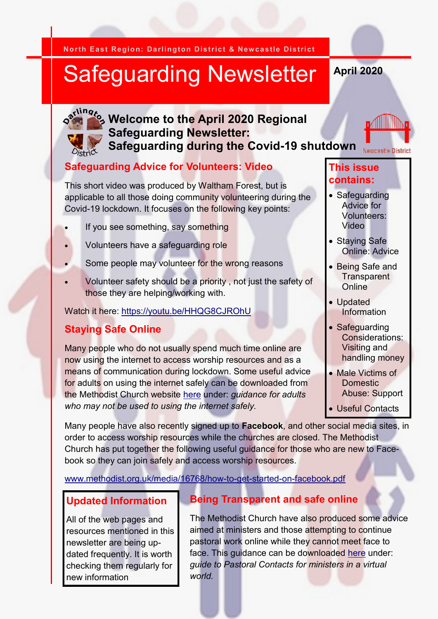**North East Region: Darlington District & Newcastle District**

# Safeguarding Newsletter

**April 2020**



**Welcome to th<mark>e April 202</mark>0 Regional**  $\sum_{i=1}^{N^{11}n} s_i$ **Safeguarding Newsletter: Safeguarding during the Covid-19 shutdown**

#### **Safeguarding Advice for Volunteers: Video**

This short video was produced by Waltham Forest, but is applicable to all those doing community volunteering during the Covid-19 lockdown. It focuses on the following key points:

- If you see something, say something
- Volunteers have a safeguarding role
- Some people may volunteer for the wrong reasons
- Volunteer safety should be a priority , not just the safety of those they are helping/working with.

#### Watch it here:<https://youtu.be/HHQG8CJROhU>

## **Staying Safe Online**

Many people who do not usually spend much time online are now using the internet to access worship resources and as a means of communication during lockdown. Some useful advice for adults on using the internet safely can be downloaded from the Methodist Church website [here](https://www.methodist.org.uk/about-us/coronavirus/safeguarding-considerations/) under: *guidance for adults who may not be used to using the internet safely.* 

#### **This issue contains:**

**Newcastle District** 

- Safeguarding Advice for Volunteers: Video
- Staying Safe Online: Advice
- Being Safe and **Transparent Online**
- Updated Information
- Safeguarding Considerations: Visiting and handling money
- Male Victims of Domestic Abuse: Support
- Useful Contacts

Many people have also recently signed up to **Facebook**, and other social media sites, in order to access worship resources while the churches are closed. The Methodist Church has put together the following useful guidance for those who are new to Facebook so they can join safely and access worship resources.

[www.methodist.org.uk/media/16768/how-to-get-started-on-facebook.pdf](http://www.methodist.org.uk/media/16768/how-to-get-started-on-facebook.pdf) 

#### **Updated Information**

All of the web pages and resources mentioned in this newsletter are being updated frequently. It is worth checking them regularly for new information

#### **Being Transparent and safe online**

The Methodist Church have also produced some advice aimed at ministers and those attempting to continue pastoral work online while they cannot meet face to face. This guidance can be downloaded [here](https://www.methodist.org.uk/about-us/coronavirus/safeguarding-considerations/) under: *guide to Pastoral Contacts for ministers in a virtual world.*